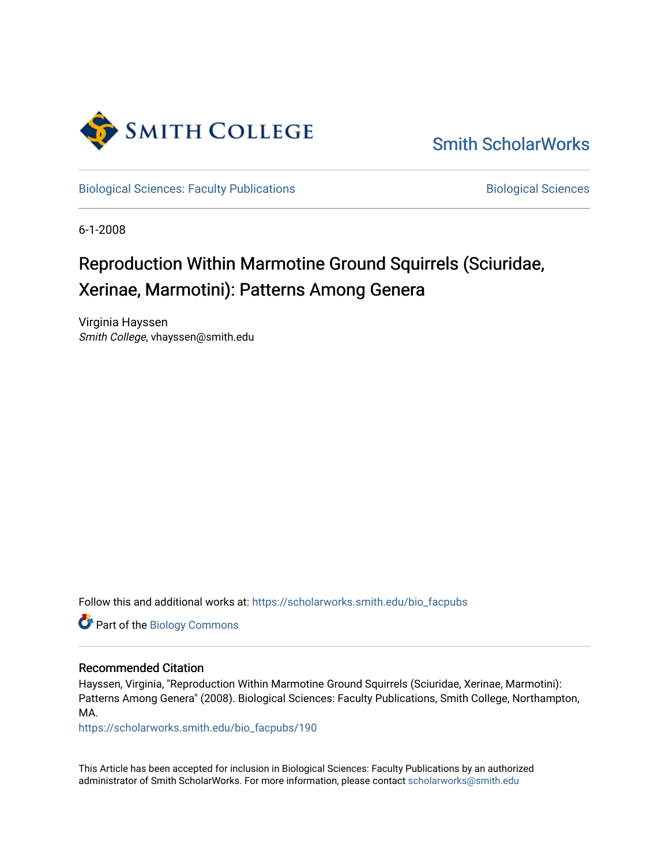

[Smith ScholarWorks](https://scholarworks.smith.edu/) 

[Biological Sciences: Faculty Publications](https://scholarworks.smith.edu/bio_facpubs) **Biological Sciences** Biological Sciences

6-1-2008

# Reproduction Within Marmotine Ground Squirrels (Sciuridae, Xerinae, Marmotini): Patterns Among Genera

Virginia Hayssen Smith College, vhayssen@smith.edu

Follow this and additional works at: [https://scholarworks.smith.edu/bio\\_facpubs](https://scholarworks.smith.edu/bio_facpubs?utm_source=scholarworks.smith.edu%2Fbio_facpubs%2F190&utm_medium=PDF&utm_campaign=PDFCoverPages)

Part of the [Biology Commons](http://network.bepress.com/hgg/discipline/41?utm_source=scholarworks.smith.edu%2Fbio_facpubs%2F190&utm_medium=PDF&utm_campaign=PDFCoverPages) 

# Recommended Citation

Hayssen, Virginia, "Reproduction Within Marmotine Ground Squirrels (Sciuridae, Xerinae, Marmotini): Patterns Among Genera" (2008). Biological Sciences: Faculty Publications, Smith College, Northampton, MA.

[https://scholarworks.smith.edu/bio\\_facpubs/190](https://scholarworks.smith.edu/bio_facpubs/190?utm_source=scholarworks.smith.edu%2Fbio_facpubs%2F190&utm_medium=PDF&utm_campaign=PDFCoverPages)

This Article has been accepted for inclusion in Biological Sciences: Faculty Publications by an authorized administrator of Smith ScholarWorks. For more information, please contact [scholarworks@smith.edu](mailto:scholarworks@smith.edu)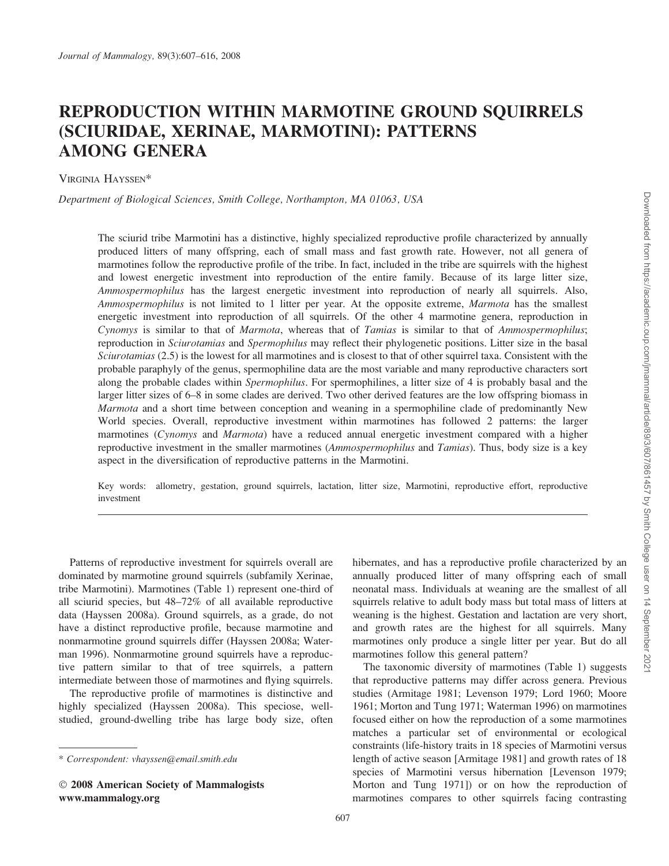# REPRODUCTION WITHIN MARMOTINE GROUND SQUIRRELS (SCIURIDAE, XERINAE, MARMOTINI): PATTERNS AMONG GENERA

# VIRGINIA HAYSSEN\*

Department of Biological Sciences, Smith College, Northampton, MA 01063, USA

The sciurid tribe Marmotini has a distinctive, highly specialized reproductive profile characterized by annually produced litters of many offspring, each of small mass and fast growth rate. However, not all genera of marmotines follow the reproductive profile of the tribe. In fact, included in the tribe are squirrels with the highest and lowest energetic investment into reproduction of the entire family. Because of its large litter size, Ammospermophilus has the largest energetic investment into reproduction of nearly all squirrels. Also, Ammospermophilus is not limited to 1 litter per year. At the opposite extreme, Marmota has the smallest energetic investment into reproduction of all squirrels. Of the other 4 marmotine genera, reproduction in Cynomys is similar to that of Marmota, whereas that of Tamias is similar to that of Ammospermophilus; reproduction in Sciurotamias and Spermophilus may reflect their phylogenetic positions. Litter size in the basal Sciurotamias (2.5) is the lowest for all marmotines and is closest to that of other squirrel taxa. Consistent with the probable paraphyly of the genus, spermophiline data are the most variable and many reproductive characters sort along the probable clades within Spermophilus. For spermophilines, a litter size of 4 is probably basal and the larger litter sizes of 6–8 in some clades are derived. Two other derived features are the low offspring biomass in Marmota and a short time between conception and weaning in a spermophiline clade of predominantly New World species. Overall, reproductive investment within marmotines has followed 2 patterns: the larger marmotines (Cynomys and Marmota) have a reduced annual energetic investment compared with a higher reproductive investment in the smaller marmotines (*Ammospermophilus* and *Tamias*). Thus, body size is a key aspect in the diversification of reproductive patterns in the Marmotini.

Key words: allometry, gestation, ground squirrels, lactation, litter size, Marmotini, reproductive effort, reproductive investment

Patterns of reproductive investment for squirrels overall are dominated by marmotine ground squirrels (subfamily Xerinae, tribe Marmotini). Marmotines (Table 1) represent one-third of all sciurid species, but 48–72% of all available reproductive data (Hayssen 2008a). Ground squirrels, as a grade, do not have a distinct reproductive profile, because marmotine and nonmarmotine ground squirrels differ (Hayssen 2008a; Waterman 1996). Nonmarmotine ground squirrels have a reproductive pattern similar to that of tree squirrels, a pattern intermediate between those of marmotines and flying squirrels.

The reproductive profile of marmotines is distinctive and highly specialized (Hayssen 2008a). This speciose, wellstudied, ground-dwelling tribe has large body size, often

- 2008 American Society of Mammalogists www.mammalogy.org

hibernates, and has a reproductive profile characterized by an annually produced litter of many offspring each of small neonatal mass. Individuals at weaning are the smallest of all squirrels relative to adult body mass but total mass of litters at weaning is the highest. Gestation and lactation are very short, and growth rates are the highest for all squirrels. Many marmotines only produce a single litter per year. But do all marmotines follow this general pattern?

The taxonomic diversity of marmotines (Table 1) suggests that reproductive patterns may differ across genera. Previous studies (Armitage 1981; Levenson 1979; Lord 1960; Moore 1961; Morton and Tung 1971; Waterman 1996) on marmotines focused either on how the reproduction of a some marmotines matches a particular set of environmental or ecological constraints (life-history traits in 18 species of Marmotini versus length of active season [Armitage 1981] and growth rates of 18 species of Marmotini versus hibernation [Levenson 1979; Morton and Tung 1971]) or on how the reproduction of marmotines compares to other squirrels facing contrasting

<sup>\*</sup> Correspondent: vhayssen@email.smith.edu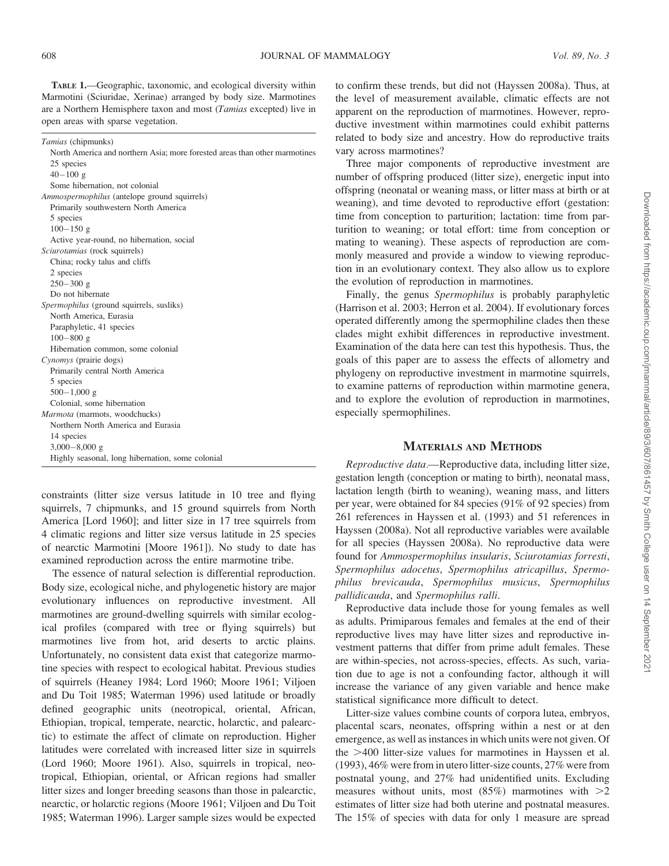TABLE 1.—Geographic, taxonomic, and ecological diversity within Marmotini (Sciuridae, Xerinae) arranged by body size. Marmotines are a Northern Hemisphere taxon and most (Tamias excepted) live in open areas with sparse vegetation.

Tamias (chipmunks) North America and northern Asia; more forested areas than other marmotines 25 species  $40 - 100$  g Some hibernation, not colonial Ammospermophilus (antelope ground squirrels) Primarily southwestern North America 5 species 100-150 g Active year-round, no hibernation, social Sciurotamias (rock squirrels) China; rocky talus and cliffs 2 species 250-300 g Do not hibernate Spermophilus (ground squirrels, susliks) North America, Eurasia Paraphyletic, 41 species 100-800 g Hibernation common, some colonial Cynomys (prairie dogs) Primarily central North America 5 species 500-1,000 g Colonial, some hibernation Marmota (marmots, woodchucks) Northern North America and Eurasia 14 species 3,000-8,000 g Highly seasonal, long hibernation, some colonial

constraints (litter size versus latitude in 10 tree and flying squirrels, 7 chipmunks, and 15 ground squirrels from North America [Lord 1960]; and litter size in 17 tree squirrels from 4 climatic regions and litter size versus latitude in 25 species of nearctic Marmotini [Moore 1961]). No study to date has examined reproduction across the entire marmotine tribe.

The essence of natural selection is differential reproduction. Body size, ecological niche, and phylogenetic history are major evolutionary influences on reproductive investment. All marmotines are ground-dwelling squirrels with similar ecological profiles (compared with tree or flying squirrels) but marmotines live from hot, arid deserts to arctic plains. Unfortunately, no consistent data exist that categorize marmotine species with respect to ecological habitat. Previous studies of squirrels (Heaney 1984; Lord 1960; Moore 1961; Viljoen and Du Toit 1985; Waterman 1996) used latitude or broadly defined geographic units (neotropical, oriental, African, Ethiopian, tropical, temperate, nearctic, holarctic, and palearctic) to estimate the affect of climate on reproduction. Higher latitudes were correlated with increased litter size in squirrels (Lord 1960; Moore 1961). Also, squirrels in tropical, neotropical, Ethiopian, oriental, or African regions had smaller litter sizes and longer breeding seasons than those in palearctic, nearctic, or holarctic regions (Moore 1961; Viljoen and Du Toit 1985; Waterman 1996). Larger sample sizes would be expected

to confirm these trends, but did not (Hayssen 2008a). Thus, at the level of measurement available, climatic effects are not apparent on the reproduction of marmotines. However, reproductive investment within marmotines could exhibit patterns related to body size and ancestry. How do reproductive traits vary across marmotines?

Three major components of reproductive investment are number of offspring produced (litter size), energetic input into offspring (neonatal or weaning mass, or litter mass at birth or at weaning), and time devoted to reproductive effort (gestation: time from conception to parturition; lactation: time from parturition to weaning; or total effort: time from conception or mating to weaning). These aspects of reproduction are commonly measured and provide a window to viewing reproduction in an evolutionary context. They also allow us to explore the evolution of reproduction in marmotines.

Finally, the genus Spermophilus is probably paraphyletic (Harrison et al. 2003; Herron et al. 2004). If evolutionary forces operated differently among the spermophiline clades then these clades might exhibit differences in reproductive investment. Examination of the data here can test this hypothesis. Thus, the goals of this paper are to assess the effects of allometry and phylogeny on reproductive investment in marmotine squirrels, to examine patterns of reproduction within marmotine genera, and to explore the evolution of reproduction in marmotines, especially spermophilines.

# MATERIALS AND METHODS

Reproductive data.—Reproductive data, including litter size, gestation length (conception or mating to birth), neonatal mass, lactation length (birth to weaning), weaning mass, and litters per year, were obtained for 84 species (91% of 92 species) from 261 references in Hayssen et al. (1993) and 51 references in Hayssen (2008a). Not all reproductive variables were available for all species (Hayssen 2008a). No reproductive data were found for Ammospermophilus insularis, Sciurotamias forresti, Spermophilus adocetus, Spermophilus atricapillus, Spermophilus brevicauda, Spermophilus musicus, Spermophilus pallidicauda, and Spermophilus ralli.

Reproductive data include those for young females as well as adults. Primiparous females and females at the end of their reproductive lives may have litter sizes and reproductive investment patterns that differ from prime adult females. These are within-species, not across-species, effects. As such, variation due to age is not a confounding factor, although it will increase the variance of any given variable and hence make statistical significance more difficult to detect.

Litter-size values combine counts of corpora lutea, embryos, placental scars, neonates, offspring within a nest or at den emergence, as well as instances in which units were not given. Of the  $>400$  litter-size values for marmotines in Hayssen et al. (1993), 46% were from in utero litter-size counts, 27% were from postnatal young, and 27% had unidentified units. Excluding measures without units, most  $(85%)$  marmotines with  $>2$ estimates of litter size had both uterine and postnatal measures. The 15% of species with data for only 1 measure are spread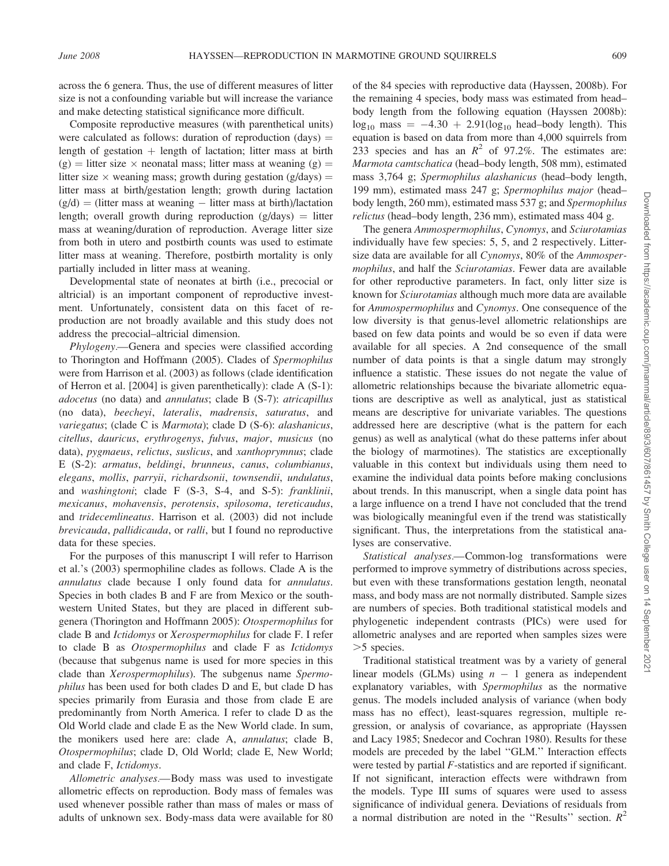across the 6 genera. Thus, the use of different measures of litter size is not a confounding variable but will increase the variance and make detecting statistical significance more difficult.

Composite reproductive measures (with parenthetical units) were calculated as follows: duration of reproduction  $(days)$  = length of gestation  $+$  length of lactation; litter mass at birth  $(g)$  = litter size  $\times$  neonatal mass; litter mass at weaning (g) = litter size  $\times$  weaning mass; growth during gestation (g/days) = litter mass at birth/gestation length; growth during lactation  $(g/d)$  = (litter mass at weaning – litter mass at birth)/lactation length; overall growth during reproduction ( $g/days$ ) = litter mass at weaning/duration of reproduction. Average litter size from both in utero and postbirth counts was used to estimate litter mass at weaning. Therefore, postbirth mortality is only partially included in litter mass at weaning.

Developmental state of neonates at birth (i.e., precocial or altricial) is an important component of reproductive investment. Unfortunately, consistent data on this facet of reproduction are not broadly available and this study does not address the precocial–altricial dimension.

Phylogeny.—Genera and species were classified according to Thorington and Hoffmann (2005). Clades of Spermophilus were from Harrison et al. (2003) as follows (clade identification of Herron et al. [2004] is given parenthetically): clade A (S-1): adocetus (no data) and annulatus; clade B (S-7): atricapillus (no data), beecheyi, lateralis, madrensis, saturatus, and variegatus; (clade C is Marmota); clade D (S-6): alashanicus, citellus, dauricus, erythrogenys, fulvus, major, musicus (no data), pygmaeus, relictus, suslicus, and xanthoprymnus; clade E (S-2): armatus, beldingi, brunneus, canus, columbianus, elegans, mollis, parryii, richardsonii, townsendii, undulatus, and washingtoni; clade F (S-3, S-4, and S-5): franklinii, mexicanus, mohavensis, perotensis, spilosoma, tereticaudus, and tridecemlineatus. Harrison et al. (2003) did not include brevicauda, pallidicauda, or ralli, but I found no reproductive data for these species.

For the purposes of this manuscript I will refer to Harrison et al.'s (2003) spermophiline clades as follows. Clade A is the annulatus clade because I only found data for annulatus. Species in both clades B and F are from Mexico or the southwestern United States, but they are placed in different subgenera (Thorington and Hoffmann 2005): Otospermophilus for clade B and Ictidomys or Xerospermophilus for clade F. I refer to clade B as Otospermophilus and clade F as Ictidomys (because that subgenus name is used for more species in this clade than Xerospermophilus). The subgenus name Spermophilus has been used for both clades D and E, but clade D has species primarily from Eurasia and those from clade E are predominantly from North America. I refer to clade D as the Old World clade and clade E as the New World clade. In sum, the monikers used here are: clade A, annulatus; clade B, Otospermophilus; clade D, Old World; clade E, New World; and clade F, Ictidomys.

Allometric analyses.—Body mass was used to investigate allometric effects on reproduction. Body mass of females was used whenever possible rather than mass of males or mass of adults of unknown sex. Body-mass data were available for 80 of the 84 species with reproductive data (Hayssen, 2008b). For the remaining 4 species, body mass was estimated from head– body length from the following equation (Hayssen 2008b):  $log_{10}$  mass  $= -4.30 + 2.91(log_{10}$  head–body length). This equation is based on data from more than 4,000 squirrels from 233 species and has an  $R^2$  of 97.2%. The estimates are: Marmota camtschatica (head–body length, 508 mm), estimated mass 3,764 g; Spermophilus alashanicus (head–body length, 199 mm), estimated mass 247 g; Spermophilus major (head– body length, 260 mm), estimated mass 537 g; and Spermophilus relictus (head–body length, 236 mm), estimated mass 404 g.

The genera Ammospermophilus, Cynomys, and Sciurotamias individually have few species: 5, 5, and 2 respectively. Littersize data are available for all Cynomys, 80% of the *Ammosper*mophilus, and half the Sciurotamias. Fewer data are available for other reproductive parameters. In fact, only litter size is known for Sciurotamias although much more data are available for Ammospermophilus and Cynomys. One consequence of the low diversity is that genus-level allometric relationships are based on few data points and would be so even if data were available for all species. A 2nd consequence of the small number of data points is that a single datum may strongly influence a statistic. These issues do not negate the value of allometric relationships because the bivariate allometric equations are descriptive as well as analytical, just as statistical means are descriptive for univariate variables. The questions addressed here are descriptive (what is the pattern for each genus) as well as analytical (what do these patterns infer about the biology of marmotines). The statistics are exceptionally valuable in this context but individuals using them need to examine the individual data points before making conclusions about trends. In this manuscript, when a single data point has a large influence on a trend I have not concluded that the trend was biologically meaningful even if the trend was statistically significant. Thus, the interpretations from the statistical analyses are conservative.

Statistical analyses.—Common-log transformations were performed to improve symmetry of distributions across species, but even with these transformations gestation length, neonatal mass, and body mass are not normally distributed. Sample sizes are numbers of species. Both traditional statistical models and phylogenetic independent contrasts (PICs) were used for allometric analyses and are reported when samples sizes were  $>5$  species.

Traditional statistical treatment was by a variety of general linear models (GLMs) using  $n - 1$  genera as independent explanatory variables, with Spermophilus as the normative genus. The models included analysis of variance (when body mass has no effect), least-squares regression, multiple regression, or analysis of covariance, as appropriate (Hayssen and Lacy 1985; Snedecor and Cochran 1980). Results for these models are preceded by the label ''GLM.'' Interaction effects were tested by partial F-statistics and are reported if significant. If not significant, interaction effects were withdrawn from the models. Type III sums of squares were used to assess significance of individual genera. Deviations of residuals from a normal distribution are noted in the "Results" section.  $R^2$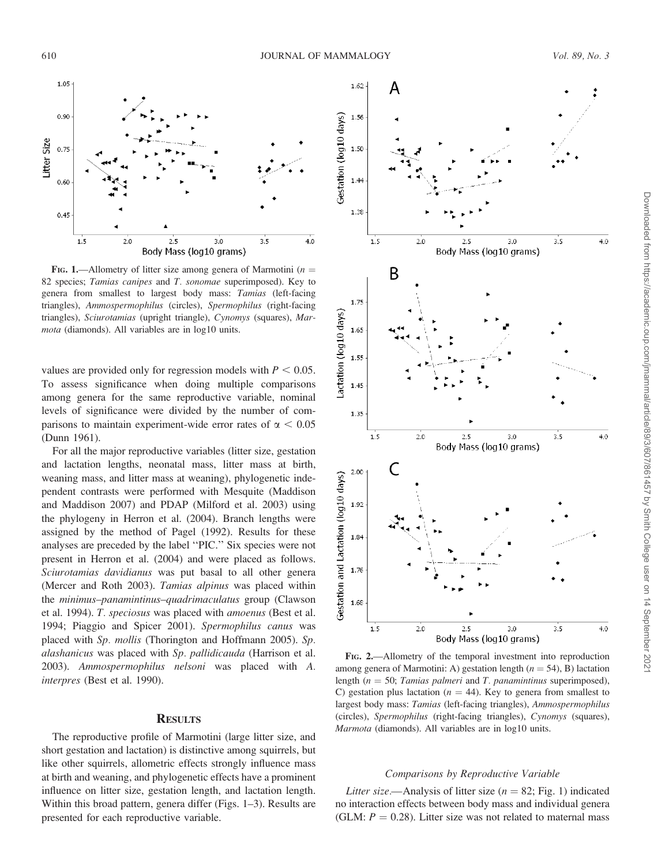

FIG. 1.—Allometry of litter size among genera of Marmotini ( $n =$ 82 species; Tamias canipes and T. sonomae superimposed). Key to genera from smallest to largest body mass: Tamias (left-facing triangles), Ammospermophilus (circles), Spermophilus (right-facing triangles), Sciurotamias (upright triangle), Cynomys (squares), Marmota (diamonds). All variables are in log10 units.

values are provided only for regression models with  $P < 0.05$ . To assess significance when doing multiple comparisons among genera for the same reproductive variable, nominal levels of significance were divided by the number of comparisons to maintain experiment-wide error rates of  $\alpha$  < 0.05 (Dunn 1961).

For all the major reproductive variables (litter size, gestation and lactation lengths, neonatal mass, litter mass at birth, weaning mass, and litter mass at weaning), phylogenetic independent contrasts were performed with Mesquite (Maddison and Maddison 2007) and PDAP (Milford et al. 2003) using the phylogeny in Herron et al. (2004). Branch lengths were assigned by the method of Pagel (1992). Results for these analyses are preceded by the label ''PIC.'' Six species were not present in Herron et al. (2004) and were placed as follows. Sciurotamias davidianus was put basal to all other genera (Mercer and Roth 2003). Tamias alpinus was placed within the minimus–panamintinus–quadrimaculatus group (Clawson et al. 1994). T. speciosus was placed with amoenus (Best et al. 1994; Piaggio and Spicer 2001). Spermophilus canus was placed with Sp. mollis (Thorington and Hoffmann 2005). Sp. alashanicus was placed with Sp. pallidicauda (Harrison et al. 2003). Ammospermophilus nelsoni was placed with A. interpres (Best et al. 1990).

# **RESULTS**

The reproductive profile of Marmotini (large litter size, and short gestation and lactation) is distinctive among squirrels, but like other squirrels, allometric effects strongly influence mass at birth and weaning, and phylogenetic effects have a prominent influence on litter size, gestation length, and lactation length. Within this broad pattern, genera differ (Figs. 1–3). Results are presented for each reproductive variable.



FIG. 2.—Allometry of the temporal investment into reproduction among genera of Marmotini: A) gestation length ( $n = 54$ ), B) lactation length ( $n = 50$ ; Tamias palmeri and T. panamintinus superimposed), C) gestation plus lactation ( $n = 44$ ). Key to genera from smallest to largest body mass: Tamias (left-facing triangles), Ammospermophilus (circles), Spermophilus (right-facing triangles), Cynomys (squares), Marmota (diamonds). All variables are in log10 units.

# Comparisons by Reproductive Variable

Litter size.—Analysis of litter size ( $n = 82$ ; Fig. 1) indicated no interaction effects between body mass and individual genera (GLM:  $P = 0.28$ ). Litter size was not related to maternal mass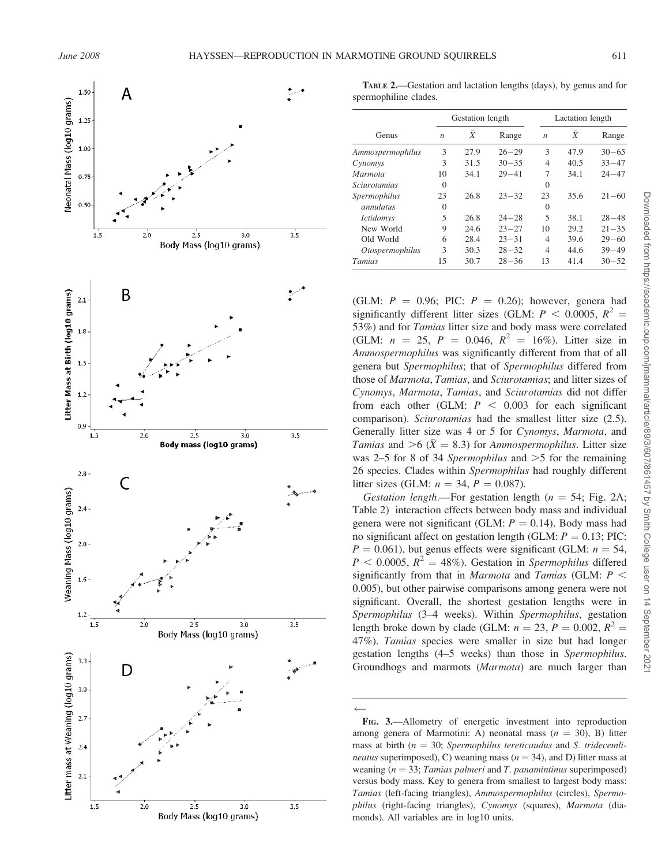

TABLE 2.—Gestation and lactation lengths (days), by genus and for spermophiline clades.

|                        |                  | Gestation length |           |                  | Lactation length |           |  |  |
|------------------------|------------------|------------------|-----------|------------------|------------------|-----------|--|--|
| Genus                  | $\boldsymbol{n}$ | $\overline{X}$   | Range     | $\boldsymbol{n}$ | X                | Range     |  |  |
| Ammospermophilus       | 3                | 27.9             | $26 - 29$ | 3                | 47.9             | $30 - 65$ |  |  |
| Cynomys                | 3                | 31.5             | $30 - 35$ | 4                | 40.5             | $33 - 47$ |  |  |
| <i>Marmota</i>         | 10               | 34.1             | $29 - 41$ | 7                | 34.1             | $24 - 47$ |  |  |
| <i>Sciurotamias</i>    | $\theta$         |                  |           | $\Omega$         |                  |           |  |  |
| Spermophilus           | 23               | 26.8             | $23 - 32$ | 23               | 35.6             | $21 - 60$ |  |  |
| annulatus              | $\theta$         |                  |           | $\Omega$         |                  |           |  |  |
| <i>Ictidomys</i>       | 5                | 26.8             | $24 - 28$ | 5                | 38.1             | $28 - 48$ |  |  |
| New World              | 9                | 24.6             | $23 - 27$ | 10               | 29.2             | $21 - 35$ |  |  |
| Old World              | 6                | 28.4             | $23 - 31$ | 4                | 39.6             | $29 - 60$ |  |  |
| <i>Otospermophilus</i> | 3                | 30.3             | $28 - 32$ | $\overline{4}$   | 44.6             | $39 - 49$ |  |  |
| <b>Tamias</b>          | 15               | 30.7             | $28 - 36$ | 13               | 41.4             | $30 - 52$ |  |  |

(GLM:  $P = 0.96$ ; PIC:  $P = 0.26$ ); however, genera had significantly different litter sizes (GLM:  $P \le 0.0005$ ,  $R^2 =$ 53%) and for Tamias litter size and body mass were correlated (GLM:  $n = 25$ ,  $P = 0.046$ ,  $R^2 = 16\%$ ). Litter size in Ammospermophilus was significantly different from that of all genera but Spermophilus; that of Spermophilus differed from those of Marmota, Tamias, and Sciurotamias; and litter sizes of Cynomys, Marmota, Tamias, and Sciurotamias did not differ from each other (GLM:  $P < 0.003$  for each significant comparison). Sciurotamias had the smallest litter size (2.5). Generally litter size was 4 or 5 for Cynomys, Marmota, and *Tamias* and  $>6$  ( $\bar{X} = 8.3$ ) for *Ammospermophilus*. Litter size was 2–5 for 8 of 34 Spermophilus and  $>$ 5 for the remaining 26 species. Clades within Spermophilus had roughly different litter sizes (GLM:  $n = 34, P = 0.087$ ).

Gestation length.—For gestation length ( $n = 54$ ; Fig. 2A; Table 2) interaction effects between body mass and individual genera were not significant (GLM:  $P = 0.14$ ). Body mass had no significant affect on gestation length (GLM:  $P = 0.13$ ; PIC:  $P = 0.061$ ), but genus effects were significant (GLM:  $n = 54$ ,  $P < 0.0005$ ,  $R^2 = 48\%$ ). Gestation in Spermophilus differed significantly from that in Marmota and Tamias (GLM:  $P$  < 0.005), but other pairwise comparisons among genera were not significant. Overall, the shortest gestation lengths were in Spermophilus (3–4 weeks). Within Spermophilus, gestation length broke down by clade (GLM:  $n = 23$ ,  $P = 0.002$ ,  $R^2 =$ 47%). Tamias species were smaller in size but had longer gestation lengths (4–5 weeks) than those in Spermophilus. Groundhogs and marmots (Marmota) are much larger than

FIG. 3.—Allometry of energetic investment into reproduction among genera of Marmotini: A) neonatal mass  $(n = 30)$ , B) litter mass at birth ( $n = 30$ ; Spermophilus tereticaudus and S. tridecemli*neatus* superimposed), C) weaning mass ( $n = 34$ ), and D) litter mass at weaning ( $n = 33$ ; Tamias palmeri and T. panamintinus superimposed) versus body mass. Key to genera from smallest to largest body mass: Tamias (left-facing triangles), Ammospermophilus (circles), Spermophilus (right-facing triangles), Cynomys (squares), Marmota (diamonds). All variables are in log10 units.  $\leftarrow$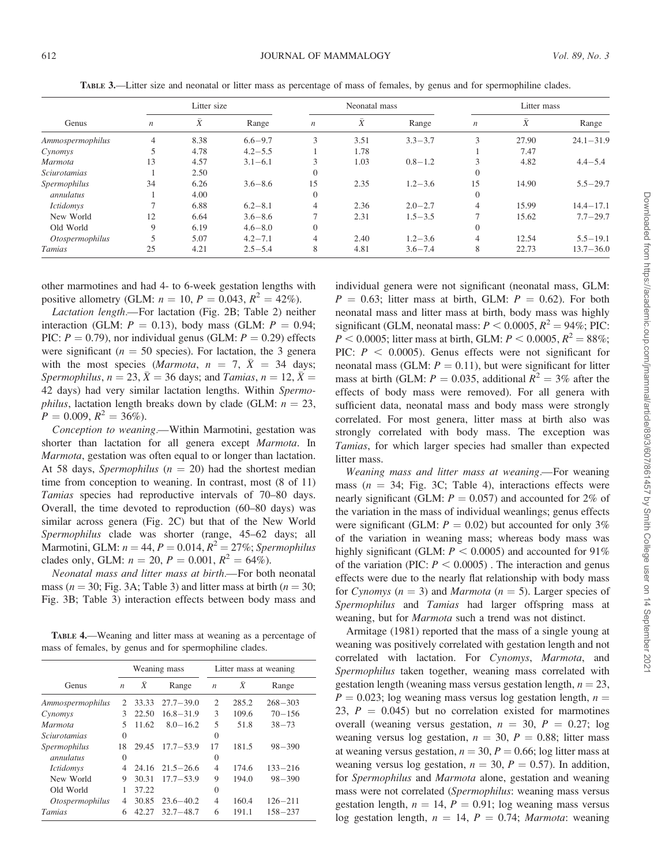TABLE 3.—Litter size and neonatal or litter mass as percentage of mass of females, by genus and for spermophiline clades.

| Genus                  | Litter size      |      |             | Neonatal mass    |      |             | Litter mass      |           |               |
|------------------------|------------------|------|-------------|------------------|------|-------------|------------------|-----------|---------------|
|                        | $\boldsymbol{n}$ | X    | Range       | $\boldsymbol{n}$ | X    | Range       | $\boldsymbol{n}$ | $\bar{X}$ | Range         |
| Ammospermophilus       | 4                | 8.38 | $6.6 - 9.7$ | 3                | 3.51 | $3.3 - 3.7$ | 3                | 27.90     | $24.1 - 31.9$ |
| Cynomys                |                  | 4.78 | $4.2 - 5.5$ |                  | 1.78 |             |                  | 7.47      |               |
| <b>Marmota</b>         | 13               | 4.57 | $3.1 - 6.1$ | 3                | 1.03 | $0.8 - 1.2$ |                  | 4.82      | $4.4 - 5.4$   |
| <i>Sciurotamias</i>    |                  | 2.50 |             | $\mathbf{0}$     |      |             |                  |           |               |
| Spermophilus           | 34               | 6.26 | $3.6 - 8.6$ | 15               | 2.35 | $1.2 - 3.6$ | 15               | 14.90     | $5.5 - 29.7$  |
| annulatus              |                  | 4.00 |             | $\mathbf{0}$     |      |             | $\Omega$         |           |               |
| <b>Ictidomys</b>       |                  | 6.88 | $6.2 - 8.1$ | 4                | 2.36 | $2.0 - 2.7$ | $\overline{4}$   | 15.99     | $14.4 - 17.1$ |
| New World              | 12               | 6.64 | $3.6 - 8.6$ | π                | 2.31 | $1.5 - 3.5$ |                  | 15.62     | $7.7 - 29.7$  |
| Old World              | $\mathbf Q$      | 6.19 | $4.6 - 8.0$ | $\Omega$         |      |             | $\Omega$         |           |               |
| <i>Otospermophilus</i> |                  | 5.07 | $4.2 - 7.1$ | $\overline{4}$   | 2.40 | $1.2 - 3.6$ | $\overline{4}$   | 12.54     | $5.5 - 19.1$  |
| Tamias                 | 25               | 4.21 | $2.5 - 5.4$ | 8                | 4.81 | $3.6 - 7.4$ | 8                | 22.73     | $13.7 - 36.0$ |

other marmotines and had 4- to 6-week gestation lengths with positive allometry (GLM:  $n = 10$ ,  $P = 0.043$ ,  $R^2 = 42\%$ ).

Lactation length.—For lactation (Fig. 2B; Table 2) neither interaction (GLM:  $P = 0.13$ ), body mass (GLM:  $P = 0.94$ ; PIC:  $P = 0.79$ , nor individual genus (GLM:  $P = 0.29$ ) effects were significant ( $n = 50$  species). For lactation, the 3 general with the most species (*Marmota*,  $n = 7$ ,  $\bar{X} = 34$  days; Spermophilus,  $n = 23$ ,  $\bar{X} = 36$  days; and Tamias,  $n = 12$ ,  $\bar{X} =$ 42 days) had very similar lactation lengths. Within Spermo*philus*, lactation length breaks down by clade (GLM:  $n = 23$ ,  $P = 0.009$ ,  $R^2 = 36\%$ ).

Conception to weaning.—Within Marmotini, gestation was shorter than lactation for all genera except Marmota. In Marmota, gestation was often equal to or longer than lactation. At 58 days, Spermophilus ( $n = 20$ ) had the shortest median time from conception to weaning. In contrast, most (8 of 11) Tamias species had reproductive intervals of 70–80 days. Overall, the time devoted to reproduction (60–80 days) was similar across genera (Fig. 2C) but that of the New World Spermophilus clade was shorter (range, 45–62 days; all Marmotini, GLM:  $n = 44$ ,  $P = 0.014$ ,  $R^2 = 27\%$ ; Spermophilus clades only, GLM:  $n = 20$ ,  $P = 0.001$ ,  $R^2 = 64\%$ ).

Neonatal mass and litter mass at birth.—For both neonatal mass ( $n = 30$ ; Fig. 3A; Table 3) and litter mass at birth ( $n = 30$ ; Fig. 3B; Table 3) interaction effects between body mass and

TABLE 4.—Weaning and litter mass at weaning as a percentage of mass of females, by genus and for spermophiline clades.

|                        |                  |       | Weaning mass  | Litter mass at weaning |                |             |  |
|------------------------|------------------|-------|---------------|------------------------|----------------|-------------|--|
| Genus                  | $\boldsymbol{n}$ | X     | Range         | $\boldsymbol{n}$       | $\overline{X}$ | Range       |  |
| Ammospermophilus       | 2                | 33.33 | $27.7 - 39.0$ | 2                      | 285.2          | $268 - 303$ |  |
| Cynomys                | 3                | 22.50 | $16.8 - 31.9$ | 3                      | 109.6          | $70 - 156$  |  |
| <i>Marmota</i>         | 5                | 11.62 | $8.0 - 16.2$  | 5                      | 51.8           | $38 - 73$   |  |
| <i>Sciurotamias</i>    | $\theta$         |       |               | $\Omega$               |                |             |  |
| Spermophilus           | 18               | 29.45 | $17.7 - 53.9$ | 17                     | 181.5          | $98 - 390$  |  |
| <i>annulatus</i>       | $\theta$         |       |               | $\Omega$               |                |             |  |
| <i>Ictidomys</i>       | 4                | 24.16 | $21.5 - 26.6$ | 4                      | 174.6          | $133 - 216$ |  |
| New World              | 9                | 30.31 | $17.7 - 53.9$ | 9                      | 194.0          | $98 - 390$  |  |
| Old World              | 1                | 37.22 |               | $\Omega$               |                |             |  |
| <i>Otospermophilus</i> | 4                | 30.85 | $23.6 - 40.2$ | 4                      | 160.4          | $126 - 211$ |  |
| Tamias                 | 6                | 42.27 | $32.7 - 48.7$ | 6                      | 191.1          | $158 - 237$ |  |

individual genera were not significant (neonatal mass, GLM:  $P = 0.63$ ; litter mass at birth, GLM:  $P = 0.62$ ). For both neonatal mass and litter mass at birth, body mass was highly significant (GLM, neonatal mass:  $P < 0.0005$ ,  $R^2 = 94\%$ ; PIC:  $P < 0.0005$ ; litter mass at birth, GLM:  $P < 0.0005$ ,  $R^2 = 88\%$ ; PIC:  $P < 0.0005$ ). Genus effects were not significant for neonatal mass (GLM:  $P = 0.11$ ), but were significant for litter mass at birth (GLM:  $P = 0.035$ , additional  $R^2 = 3\%$  after the effects of body mass were removed). For all genera with sufficient data, neonatal mass and body mass were strongly correlated. For most genera, litter mass at birth also was strongly correlated with body mass. The exception was Tamias, for which larger species had smaller than expected litter mass.

Weaning mass and litter mass at weaning.—For weaning mass ( $n = 34$ ; Fig. 3C; Table 4), interactions effects were nearly significant (GLM:  $P = 0.057$ ) and accounted for 2% of the variation in the mass of individual weanlings; genus effects were significant (GLM:  $P = 0.02$ ) but accounted for only 3% of the variation in weaning mass; whereas body mass was highly significant (GLM:  $P < 0.0005$ ) and accounted for 91% of the variation (PIC:  $P < 0.0005$ ). The interaction and genus effects were due to the nearly flat relationship with body mass for Cynomys ( $n = 3$ ) and Marmota ( $n = 5$ ). Larger species of Spermophilus and Tamias had larger offspring mass at weaning, but for Marmota such a trend was not distinct.

Armitage (1981) reported that the mass of a single young at weaning was positively correlated with gestation length and not correlated with lactation. For Cynomys, Marmota, and Spermophilus taken together, weaning mass correlated with gestation length (weaning mass versus gestation length,  $n = 23$ ,  $P = 0.023$ ; log weaning mass versus log gestation length,  $n =$ 23,  $P = 0.045$ ) but no correlation existed for marmotines overall (weaning versus gestation,  $n = 30$ ,  $P = 0.27$ ; log weaning versus log gestation,  $n = 30$ ,  $P = 0.88$ ; litter mass at weaning versus gestation,  $n = 30$ ,  $P = 0.66$ ; log litter mass at weaning versus log gestation,  $n = 30$ ,  $P = 0.57$ ). In addition, for Spermophilus and Marmota alone, gestation and weaning mass were not correlated (Spermophilus: weaning mass versus gestation length,  $n = 14$ ,  $P = 0.91$ ; log weaning mass versus log gestation length,  $n = 14$ ,  $P = 0.74$ ; Marmota: weaning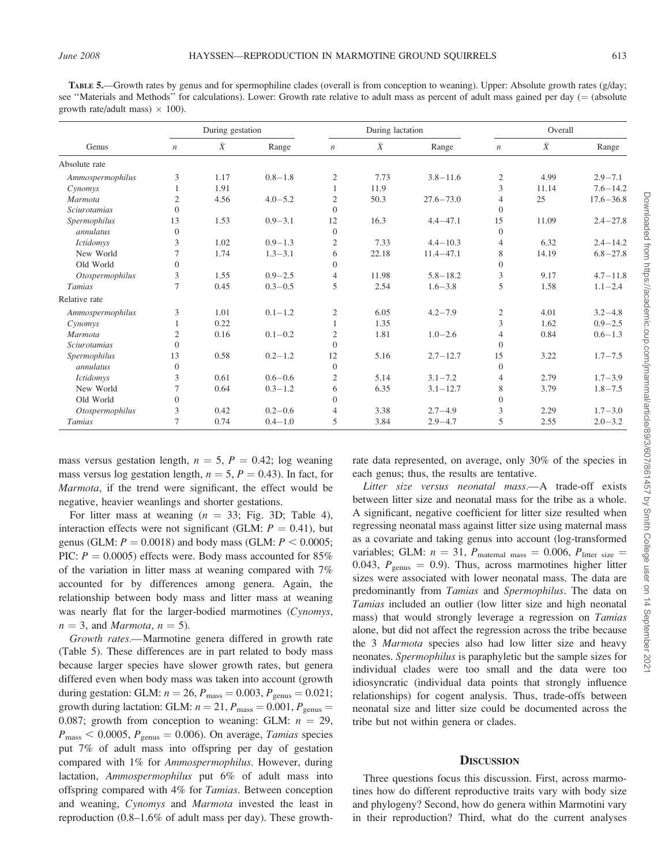TABLE 5.—Growth rates by genus and for spermophiline clades (overall is from conception to weaning). Upper: Absolute growth rates (g/day; see "Materials and Methods" for calculations). Lower: Growth rate relative to adult mass as percent of adult mass gained per day ( $=$  (absolute growth rate/adult mass)  $\times$  100).

| Genus               | During gestation |           |             | During lactation |           |               | Overall          |           |               |
|---------------------|------------------|-----------|-------------|------------------|-----------|---------------|------------------|-----------|---------------|
|                     | $\boldsymbol{n}$ | $\bar{X}$ | Range       | $\boldsymbol{n}$ | $\bar{X}$ | Range         | $\boldsymbol{n}$ | $\bar{X}$ | Range         |
| Absolute rate       |                  |           |             |                  |           |               |                  |           |               |
| Ammospermophilus    | 3                | 1.17      | $0.8 - 1.8$ | $\sqrt{2}$       | 7.73      | $3.8 - 11.6$  | $\sqrt{2}$       | 4.99      | $2.9 - 7.1$   |
| Cynomys             |                  | 1.91      |             | $\mathbf{1}$     | 11.9      |               | 3                | 11.14     | $7.6 - 14.2$  |
| Marmota             | $\overline{2}$   | 4.56      | $4.0 - 5.2$ | $\overline{2}$   | 50.3      | $27.6 - 73.0$ | $\overline{4}$   | 25        | $17.6 - 36.8$ |
| Sciurotamias        | $\Omega$         |           |             | $\theta$         |           |               | $\overline{0}$   |           |               |
| Spermophilus        | 13               | 1.53      | $0.9 - 3.1$ | 12               | 16.3      | $4.4 - 47.1$  | 15               | 11.09     | $2.4 - 27.8$  |
| <i>annulatus</i>    | $\Omega$         |           |             | $\theta$         |           |               | $\overline{0}$   |           |               |
| <b>Ictidomys</b>    | 3                | 1.02      | $0.9 - 1.3$ | $\mathfrak{2}$   | 7.33      | $4.4 - 10.3$  | 4                | 6.32      | $2.4 - 14.2$  |
| New World           | $\overline{7}$   | 1.74      | $1.3 - 3.1$ | 6                | 22.18     | $11.4 - 47.1$ | 8                | 14.19     | $6.8 - 27.8$  |
| Old World           | $\Omega$         |           |             | $\overline{0}$   |           |               | $\overline{0}$   |           |               |
| Otospermophilus     | 3                | 1.55      | $0.9 - 2.5$ | $\overline{4}$   | 11.98     | $5.8 - 18.2$  | 3                | 9.17      | $4.7 - 11.8$  |
| Tamias              | $\overline{7}$   | 0.45      | $0.3 - 0.5$ | 5                | 2.54      | $1.6 - 3.8$   | 5                | 1.58      | $1.1 - 2.4$   |
| Relative rate       |                  |           |             |                  |           |               |                  |           |               |
| Ammospermophilus    | 3                | 1.01      | $0.1 - 1.2$ | $\mathfrak{2}$   | 6.05      | $4.2 - 7.9$   | $\mathfrak{2}$   | 4.01      | $3.2 - 4.8$   |
| Cynomys             |                  | 0.22      |             |                  | 1.35      |               | 3                | 1.62      | $0.9 - 2.5$   |
| Marmota             | $\overline{2}$   | 0.16      | $0.1 - 0.2$ | $\mathfrak{2}$   | 1.81      | $1.0 - 2.6$   | $\overline{4}$   | 0.84      | $0.6 - 1.3$   |
| <b>Sciurotamias</b> | $\theta$         |           |             | $\mathbf{0}$     |           |               | $\theta$         |           |               |
| Spermophilus        | 13               | 0.58      | $0.2 - 1.2$ | 12               | 5.16      | $2.7 - 12.7$  | 15               | 3.22      | $1.7 - 7.5$   |
| annulatus           | $\Omega$         |           |             | $\theta$         |           |               | $\overline{0}$   |           |               |
| Ictidomys           | 3                | 0.61      | $0.6 - 0.6$ | $\mathfrak{2}$   | 5.14      | $3.1 - 7.2$   | $\overline{4}$   | 2.79      | $1.7 - 3.9$   |
| New World           | $\overline{7}$   | 0.64      | $0.3 - 1.2$ | 6                | 6.35      | $3.1 - 12.7$  | 8                | 3.79      | $1.8 - 7.5$   |
| Old World           | $\Omega$         |           |             | $\theta$         |           |               | $\theta$         |           |               |
| Otospermophilus     | 3                | 0.42      | $0.2 - 0.6$ | $\overline{4}$   | 3.38      | $2.7 - 4.9$   | 3                | 2.29      | $1.7 - 3.0$   |
| Tamias              | $\overline{7}$   | 0.74      | $0.4 - 1.0$ | 5                | 3.84      | $2.9 - 4.7$   | 5                | 2.55      | $2.0 - 3.2$   |

mass versus gestation length,  $n = 5$ ,  $P = 0.42$ ; log weaning mass versus log gestation length,  $n = 5$ ,  $P = 0.43$ ). In fact, for Marmota, if the trend were significant, the effect would be negative, heavier weanlings and shorter gestations.

For litter mass at weaning  $(n = 33;$  Fig. 3D; Table 4), interaction effects were not significant (GLM:  $P = 0.41$ ), but genus (GLM:  $P = 0.0018$ ) and body mass (GLM:  $P < 0.0005$ ; PIC:  $P = 0.0005$ ) effects were. Body mass accounted for 85% of the variation in litter mass at weaning compared with 7% accounted for by differences among genera. Again, the relationship between body mass and litter mass at weaning was nearly flat for the larger-bodied marmotines (Cynomys,  $n = 3$ , and *Marmota*,  $n = 5$ ).

Growth rates.—Marmotine genera differed in growth rate (Table 5). These differences are in part related to body mass because larger species have slower growth rates, but genera differed even when body mass was taken into account (growth during gestation: GLM:  $n = 26$ ,  $P_{\text{mass}} = 0.003$ ,  $P_{\text{genus}} = 0.021$ ; growth during lactation: GLM:  $n = 21$ ,  $P_{\text{mass}} = 0.001$ ,  $P_{\text{genus}} =$ 0.087; growth from conception to weaning: GLM:  $n = 29$ ,  $P_{\text{mass}} < 0.0005$ ,  $P_{\text{genus}} = 0.006$ ). On average, Tamias species put 7% of adult mass into offspring per day of gestation compared with 1% for Ammospermophilus. However, during lactation, Ammospermophilus put 6% of adult mass into offspring compared with 4% for Tamias. Between conception and weaning, Cynomys and Marmota invested the least in reproduction (0.8–1.6% of adult mass per day). These growthrate data represented, on average, only 30% of the species in each genus; thus, the results are tentative.

Litter size versus neonatal mass.—A trade-off exists between litter size and neonatal mass for the tribe as a whole. A significant, negative coefficient for litter size resulted when regressing neonatal mass against litter size using maternal mass as a covariate and taking genus into account (log-transformed variables; GLM:  $n = 31$ ,  $P_{\text{material mass}} = 0.006$ ,  $P_{\text{litter size}} =$ 0.043,  $P_{genus} = 0.9$ . Thus, across marmotines higher litter sizes were associated with lower neonatal mass. The data are predominantly from Tamias and Spermophilus. The data on Tamias included an outlier (low litter size and high neonatal mass) that would strongly leverage a regression on Tamias alone, but did not affect the regression across the tribe because the 3 Marmota species also had low litter size and heavy neonates. Spermophilus is paraphyletic but the sample sizes for individual clades were too small and the data were too idiosyncratic (individual data points that strongly influence relationships) for cogent analysis. Thus, trade-offs between neonatal size and litter size could be documented across the tribe but not within genera or clades.

#### **DISCUSSION**

Three questions focus this discussion. First, across marmotines how do different reproductive traits vary with body size and phylogeny? Second, how do genera within Marmotini vary in their reproduction? Third, what do the current analyses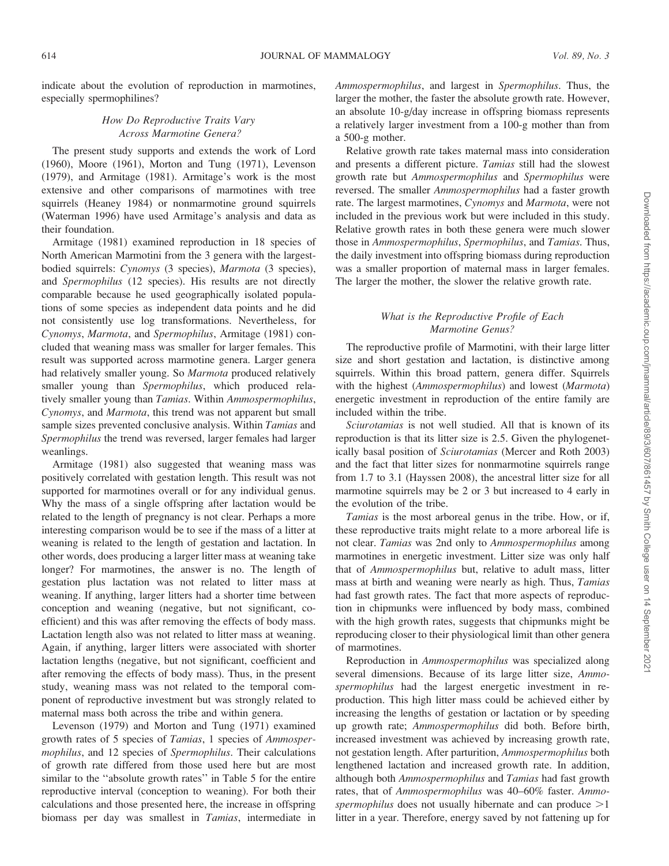indicate about the evolution of reproduction in marmotines, especially spermophilines?

# How Do Reproductive Traits Vary Across Marmotine Genera?

The present study supports and extends the work of Lord (1960), Moore (1961), Morton and Tung (1971), Levenson (1979), and Armitage (1981). Armitage's work is the most extensive and other comparisons of marmotines with tree squirrels (Heaney 1984) or nonmarmotine ground squirrels (Waterman 1996) have used Armitage's analysis and data as their foundation.

Armitage (1981) examined reproduction in 18 species of North American Marmotini from the 3 genera with the largestbodied squirrels: Cynomys (3 species), Marmota (3 species), and Spermophilus (12 species). His results are not directly comparable because he used geographically isolated populations of some species as independent data points and he did not consistently use log transformations. Nevertheless, for Cynomys, Marmota, and Spermophilus, Armitage (1981) concluded that weaning mass was smaller for larger females. This result was supported across marmotine genera. Larger genera had relatively smaller young. So Marmota produced relatively smaller young than Spermophilus, which produced relatively smaller young than Tamias. Within Ammospermophilus, Cynomys, and Marmota, this trend was not apparent but small sample sizes prevented conclusive analysis. Within Tamias and Spermophilus the trend was reversed, larger females had larger weanlings.

Armitage (1981) also suggested that weaning mass was positively correlated with gestation length. This result was not supported for marmotines overall or for any individual genus. Why the mass of a single offspring after lactation would be related to the length of pregnancy is not clear. Perhaps a more interesting comparison would be to see if the mass of a litter at weaning is related to the length of gestation and lactation. In other words, does producing a larger litter mass at weaning take longer? For marmotines, the answer is no. The length of gestation plus lactation was not related to litter mass at weaning. If anything, larger litters had a shorter time between conception and weaning (negative, but not significant, coefficient) and this was after removing the effects of body mass. Lactation length also was not related to litter mass at weaning. Again, if anything, larger litters were associated with shorter lactation lengths (negative, but not significant, coefficient and after removing the effects of body mass). Thus, in the present study, weaning mass was not related to the temporal component of reproductive investment but was strongly related to maternal mass both across the tribe and within genera.

Levenson (1979) and Morton and Tung (1971) examined growth rates of 5 species of Tamias, 1 species of Ammospermophilus, and 12 species of Spermophilus. Their calculations of growth rate differed from those used here but are most similar to the ''absolute growth rates'' in Table 5 for the entire reproductive interval (conception to weaning). For both their calculations and those presented here, the increase in offspring biomass per day was smallest in Tamias, intermediate in Ammospermophilus, and largest in Spermophilus. Thus, the larger the mother, the faster the absolute growth rate. However, an absolute 10-g/day increase in offspring biomass represents a relatively larger investment from a 100-g mother than from a 500-g mother.

Relative growth rate takes maternal mass into consideration and presents a different picture. Tamias still had the slowest growth rate but Ammospermophilus and Spermophilus were reversed. The smaller Ammospermophilus had a faster growth rate. The largest marmotines, Cynomys and Marmota, were not included in the previous work but were included in this study. Relative growth rates in both these genera were much slower those in Ammospermophilus, Spermophilus, and Tamias. Thus, the daily investment into offspring biomass during reproduction was a smaller proportion of maternal mass in larger females. The larger the mother, the slower the relative growth rate.

# What is the Reproductive Profile of Each Marmotine Genus?

The reproductive profile of Marmotini, with their large litter size and short gestation and lactation, is distinctive among squirrels. Within this broad pattern, genera differ. Squirrels with the highest (Ammospermophilus) and lowest (Marmota) energetic investment in reproduction of the entire family are included within the tribe.

Sciurotamias is not well studied. All that is known of its reproduction is that its litter size is 2.5. Given the phylogenetically basal position of Sciurotamias (Mercer and Roth 2003) and the fact that litter sizes for nonmarmotine squirrels range from 1.7 to 3.1 (Hayssen 2008), the ancestral litter size for all marmotine squirrels may be 2 or 3 but increased to 4 early in the evolution of the tribe.

Tamias is the most arboreal genus in the tribe. How, or if, these reproductive traits might relate to a more arboreal life is not clear. Tamias was 2nd only to Ammospermophilus among marmotines in energetic investment. Litter size was only half that of Ammospermophilus but, relative to adult mass, litter mass at birth and weaning were nearly as high. Thus, Tamias had fast growth rates. The fact that more aspects of reproduction in chipmunks were influenced by body mass, combined with the high growth rates, suggests that chipmunks might be reproducing closer to their physiological limit than other genera of marmotines.

Reproduction in Ammospermophilus was specialized along several dimensions. Because of its large litter size, Ammospermophilus had the largest energetic investment in reproduction. This high litter mass could be achieved either by increasing the lengths of gestation or lactation or by speeding up growth rate; Ammospermophilus did both. Before birth, increased investment was achieved by increasing growth rate, not gestation length. After parturition, Ammospermophilus both lengthened lactation and increased growth rate. In addition, although both Ammospermophilus and Tamias had fast growth rates, that of Ammospermophilus was 40–60% faster. Ammospermophilus does not usually hibernate and can produce  $>1$ litter in a year. Therefore, energy saved by not fattening up for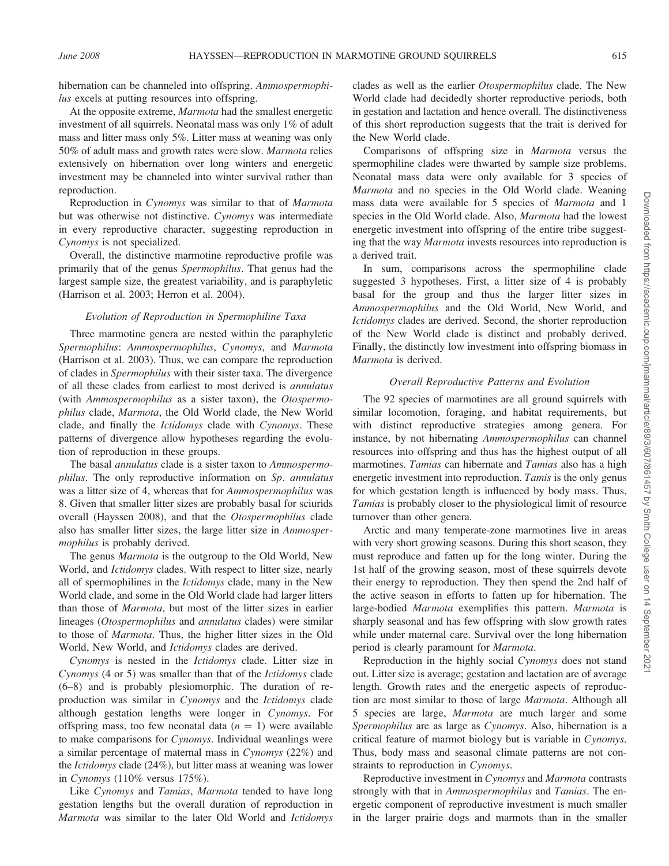hibernation can be channeled into offspring. Ammospermophilus excels at putting resources into offspring.

At the opposite extreme, Marmota had the smallest energetic investment of all squirrels. Neonatal mass was only 1% of adult mass and litter mass only 5%. Litter mass at weaning was only 50% of adult mass and growth rates were slow. Marmota relies extensively on hibernation over long winters and energetic investment may be channeled into winter survival rather than reproduction.

Reproduction in Cynomys was similar to that of Marmota but was otherwise not distinctive. Cynomys was intermediate in every reproductive character, suggesting reproduction in Cynomys is not specialized.

Overall, the distinctive marmotine reproductive profile was primarily that of the genus Spermophilus. That genus had the largest sample size, the greatest variability, and is paraphyletic (Harrison et al. 2003; Herron et al. 2004).

#### Evolution of Reproduction in Spermophiline Taxa

Three marmotine genera are nested within the paraphyletic Spermophilus: Ammospermophilus, Cynomys, and Marmota (Harrison et al. 2003). Thus, we can compare the reproduction of clades in Spermophilus with their sister taxa. The divergence of all these clades from earliest to most derived is annulatus (with Ammospermophilus as a sister taxon), the Otospermophilus clade, Marmota, the Old World clade, the New World clade, and finally the Ictidomys clade with Cynomys. These patterns of divergence allow hypotheses regarding the evolution of reproduction in these groups.

The basal annulatus clade is a sister taxon to Ammospermophilus. The only reproductive information on Sp. annulatus was a litter size of 4, whereas that for Ammospermophilus was 8. Given that smaller litter sizes are probably basal for sciurids overall (Hayssen 2008), and that the Otospermophilus clade also has smaller litter sizes, the large litter size in Ammospermophilus is probably derived.

The genus Marmota is the outgroup to the Old World, New World, and Ictidomys clades. With respect to litter size, nearly all of spermophilines in the Ictidomys clade, many in the New World clade, and some in the Old World clade had larger litters than those of Marmota, but most of the litter sizes in earlier lineages (Otospermophilus and annulatus clades) were similar to those of Marmota. Thus, the higher litter sizes in the Old World, New World, and Ictidomys clades are derived.

Cynomys is nested in the Ictidomys clade. Litter size in Cynomys (4 or 5) was smaller than that of the Ictidomys clade (6–8) and is probably plesiomorphic. The duration of reproduction was similar in Cynomys and the Ictidomys clade although gestation lengths were longer in Cynomys. For offspring mass, too few neonatal data  $(n = 1)$  were available to make comparisons for Cynomys. Individual weanlings were a similar percentage of maternal mass in Cynomys (22%) and the Ictidomys clade (24%), but litter mass at weaning was lower in Cynomys (110% versus 175%).

Like Cynomys and Tamias, Marmota tended to have long gestation lengths but the overall duration of reproduction in Marmota was similar to the later Old World and Ictidomys clades as well as the earlier Otospermophilus clade. The New World clade had decidedly shorter reproductive periods, both in gestation and lactation and hence overall. The distinctiveness of this short reproduction suggests that the trait is derived for the New World clade.

Comparisons of offspring size in Marmota versus the spermophiline clades were thwarted by sample size problems. Neonatal mass data were only available for 3 species of Marmota and no species in the Old World clade. Weaning mass data were available for 5 species of Marmota and 1 species in the Old World clade. Also, Marmota had the lowest energetic investment into offspring of the entire tribe suggesting that the way Marmota invests resources into reproduction is a derived trait.

In sum, comparisons across the spermophiline clade suggested 3 hypotheses. First, a litter size of 4 is probably basal for the group and thus the larger litter sizes in Ammospermophilus and the Old World, New World, and Ictidomys clades are derived. Second, the shorter reproduction of the New World clade is distinct and probably derived. Finally, the distinctly low investment into offspring biomass in Marmota is derived.

#### Overall Reproductive Patterns and Evolution

The 92 species of marmotines are all ground squirrels with similar locomotion, foraging, and habitat requirements, but with distinct reproductive strategies among genera. For instance, by not hibernating Ammospermophilus can channel resources into offspring and thus has the highest output of all marmotines. Tamias can hibernate and Tamias also has a high energetic investment into reproduction. Tamis is the only genus for which gestation length is influenced by body mass. Thus, Tamias is probably closer to the physiological limit of resource turnover than other genera.

Arctic and many temperate-zone marmotines live in areas with very short growing seasons. During this short season, they must reproduce and fatten up for the long winter. During the 1st half of the growing season, most of these squirrels devote their energy to reproduction. They then spend the 2nd half of the active season in efforts to fatten up for hibernation. The large-bodied Marmota exemplifies this pattern. Marmota is sharply seasonal and has few offspring with slow growth rates while under maternal care. Survival over the long hibernation period is clearly paramount for Marmota.

Reproduction in the highly social Cynomys does not stand out. Litter size is average; gestation and lactation are of average length. Growth rates and the energetic aspects of reproduction are most similar to those of large Marmota. Although all 5 species are large, Marmota are much larger and some Spermophilus are as large as Cynomys. Also, hibernation is a critical feature of marmot biology but is variable in Cynomys. Thus, body mass and seasonal climate patterns are not constraints to reproduction in Cynomys.

Reproductive investment in Cynomys and Marmota contrasts strongly with that in *Ammospermophilus* and *Tamias*. The energetic component of reproductive investment is much smaller in the larger prairie dogs and marmots than in the smaller